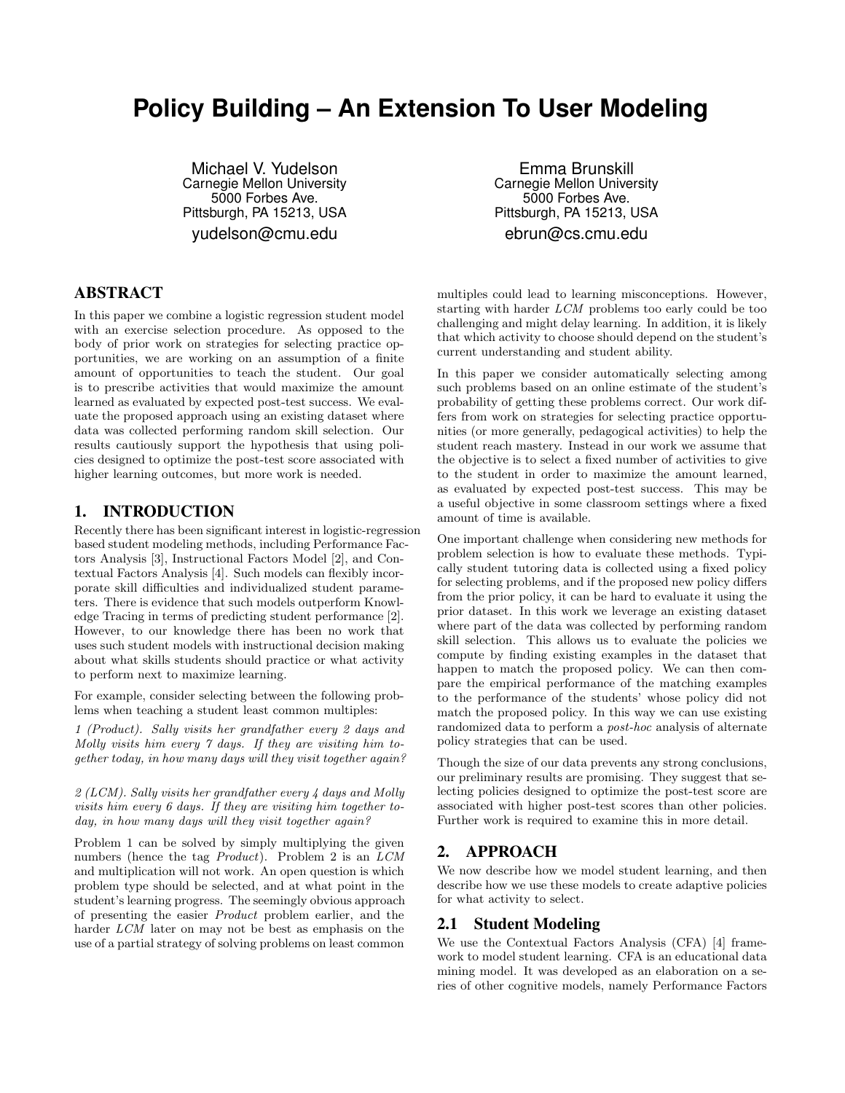# **Policy Building – An Extension To User Modeling**

Michael V. Yudelson Carnegie Mellon University 5000 Forbes Ave. Pittsburgh, PA 15213, USA yudelson@cmu.edu

# ABSTRACT

In this paper we combine a logistic regression student model with an exercise selection procedure. As opposed to the body of prior work on strategies for selecting practice opportunities, we are working on an assumption of a finite amount of opportunities to teach the student. Our goal is to prescribe activities that would maximize the amount learned as evaluated by expected post-test success. We evaluate the proposed approach using an existing dataset where data was collected performing random skill selection. Our results cautiously support the hypothesis that using policies designed to optimize the post-test score associated with higher learning outcomes, but more work is needed.

#### 1. INTRODUCTION

Recently there has been significant interest in logistic-regression based student modeling methods, including Performance Factors Analysis [3], Instructional Factors Model [2], and Contextual Factors Analysis [4]. Such models can flexibly incorporate skill difficulties and individualized student parameters. There is evidence that such models outperform Knowledge Tracing in terms of predicting student performance [2]. However, to our knowledge there has been no work that uses such student models with instructional decision making about what skills students should practice or what activity to perform next to maximize learning.

For example, consider selecting between the following problems when teaching a student least common multiples:

1 (Product). Sally visits her grandfather every 2 days and Molly visits him every 7 days. If they are visiting him together today, in how many days will they visit together again?

2 (LCM). Sally visits her grandfather every 4 days and Molly visits him every 6 days. If they are visiting him together today, in how many days will they visit together again?

Problem 1 can be solved by simply multiplying the given numbers (hence the tag Product). Problem 2 is an LCM and multiplication will not work. An open question is which problem type should be selected, and at what point in the student's learning progress. The seemingly obvious approach of presenting the easier Product problem earlier, and the harder *LCM* later on may not be best as emphasis on the use of a partial strategy of solving problems on least common

Emma Brunskill Carnegie Mellon University 5000 Forbes Ave. Pittsburgh, PA 15213, USA ebrun@cs.cmu.edu

multiples could lead to learning misconceptions. However, starting with harder LCM problems too early could be too challenging and might delay learning. In addition, it is likely that which activity to choose should depend on the student's current understanding and student ability.

In this paper we consider automatically selecting among such problems based on an online estimate of the student's probability of getting these problems correct. Our work differs from work on strategies for selecting practice opportunities (or more generally, pedagogical activities) to help the student reach mastery. Instead in our work we assume that the objective is to select a fixed number of activities to give to the student in order to maximize the amount learned, as evaluated by expected post-test success. This may be a useful objective in some classroom settings where a fixed amount of time is available.

One important challenge when considering new methods for problem selection is how to evaluate these methods. Typically student tutoring data is collected using a fixed policy for selecting problems, and if the proposed new policy differs from the prior policy, it can be hard to evaluate it using the prior dataset. In this work we leverage an existing dataset where part of the data was collected by performing random skill selection. This allows us to evaluate the policies we compute by finding existing examples in the dataset that happen to match the proposed policy. We can then compare the empirical performance of the matching examples to the performance of the students' whose policy did not match the proposed policy. In this way we can use existing randomized data to perform a post-hoc analysis of alternate policy strategies that can be used.

Though the size of our data prevents any strong conclusions, our preliminary results are promising. They suggest that selecting policies designed to optimize the post-test score are associated with higher post-test scores than other policies. Further work is required to examine this in more detail.

# 2. APPROACH

We now describe how we model student learning, and then describe how we use these models to create adaptive policies for what activity to select.

#### 2.1 Student Modeling

We use the Contextual Factors Analysis (CFA) [4] framework to model student learning. CFA is an educational data mining model. It was developed as an elaboration on a series of other cognitive models, namely Performance Factors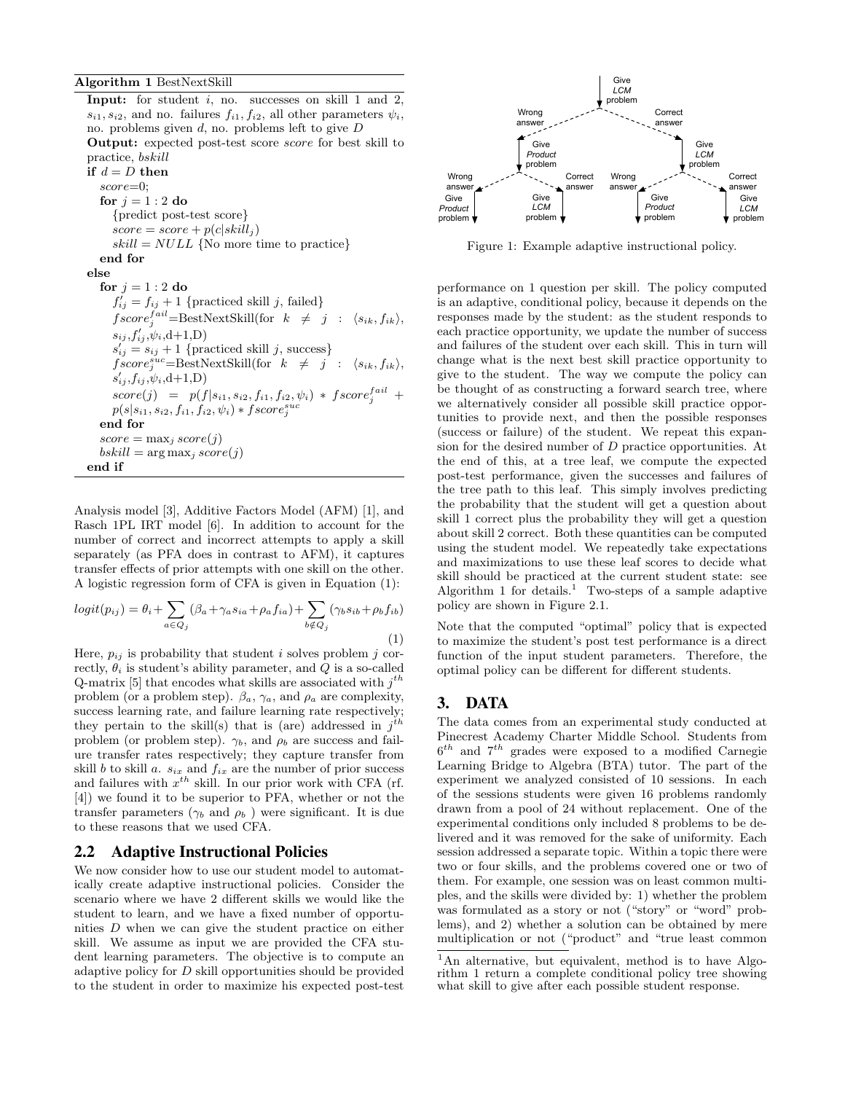**Input:** for student  $i$ , no. successes on skill 1 and 2,  $s_{i1}, s_{i2}$ , and no. failures  $f_{i1}, f_{i2}$ , all other parameters  $\psi_i$ , no. problems given  $d$ , no. problems left to give  $D$ Output: expected post-test score score for best skill to practice, bskill if  $d = D$  then score=0; for  $i = 1 : 2$  do {predict post-test score}  $score = score + p(c|skill_i)$  $skill = NULL$  {No more time to practice} end for else for  $j = 1 : 2$  do  $f'_{ij} = f_{ij} + 1$  {practiced skill j, failed}  $fscore_j^{fail} = \text{BestNextStill}(\text{for } k \neq j : \langle s_{ik}, f_{ik} \rangle,$  $s_{ij}, f'_{ij}, \psi_i, d+1, D)$  $s'_{ij} = s_{ij} + 1$  {practiced skill j, success}  $fscore_j^{suc} = BestNextSkill(for \t k \neq j : \langle s_{ik}, f_{ik} \rangle,$  $s'_{ij}, f_{ij}, \psi_i, d+1, D)$  $score(j) = p(f|s_{i1}, s_{i2}, f_{i1}, f_{i2}, \psi_i) * fscore_j^{fail} +$  $p(s|s_{i1},s_{i2},f_{i1},f_{i2},\psi_i)*fscore^{suc}_j$ end for  $score = \max_j score(j)$  $bskill = \arg \max_j score(j)$ end if

Analysis model [3], Additive Factors Model (AFM) [1], and Rasch 1PL IRT model [6]. In addition to account for the number of correct and incorrect attempts to apply a skill separately (as PFA does in contrast to AFM), it captures transfer effects of prior attempts with one skill on the other. A logistic regression form of CFA is given in Equation (1):

$$
logit(p_{ij}) = \theta_i + \sum_{a \in Q_j} (\beta_a + \gamma_a s_{ia} + \rho_a f_{ia}) + \sum_{b \notin Q_j} (\gamma_b s_{ib} + \rho_b f_{ib})
$$
\n(1)

Here,  $p_{ij}$  is probability that student i solves problem j correctly,  $\theta_i$  is student's ability parameter, and Q is a so-called Q-matrix [5] that encodes what skills are associated with  $j^{th}$ problem (or a problem step).  $\beta_a$ ,  $\gamma_a$ , and  $\rho_a$  are complexity, success learning rate, and failure learning rate respectively; they pertain to the skill(s) that is (are) addressed in  $j<sup>th</sup>$ problem (or problem step).  $\gamma_b$ , and  $\rho_b$  are success and failure transfer rates respectively; they capture transfer from skill b to skill a.  $s_{ix}$  and  $f_{ix}$  are the number of prior success and failures with  $x^{th}$  skill. In our prior work with CFA (rf. [4]) we found it to be superior to PFA, whether or not the transfer parameters ( $\gamma_b$  and  $\rho_b$ ) were significant. It is due to these reasons that we used CFA.

#### 2.2 Adaptive Instructional Policies

We now consider how to use our student model to automatically create adaptive instructional policies. Consider the scenario where we have 2 different skills we would like the student to learn, and we have a fixed number of opportunities D when we can give the student practice on either skill. We assume as input we are provided the CFA student learning parameters. The objective is to compute an adaptive policy for D skill opportunities should be provided to the student in order to maximize his expected post-test



Figure 1: Example adaptive instructional policy.

performance on 1 question per skill. The policy computed is an adaptive, conditional policy, because it depends on the responses made by the student: as the student responds to each practice opportunity, we update the number of success and failures of the student over each skill. This in turn will change what is the next best skill practice opportunity to give to the student. The way we compute the policy can be thought of as constructing a forward search tree, where we alternatively consider all possible skill practice opportunities to provide next, and then the possible responses (success or failure) of the student. We repeat this expansion for the desired number of D practice opportunities. At the end of this, at a tree leaf, we compute the expected post-test performance, given the successes and failures of the tree path to this leaf. This simply involves predicting the probability that the student will get a question about skill 1 correct plus the probability they will get a question about skill 2 correct. Both these quantities can be computed using the student model. We repeatedly take expectations and maximizations to use these leaf scores to decide what skill should be practiced at the current student state: see Algorithm 1 for details.<sup>1</sup> Two-steps of a sample adaptive policy are shown in Figure 2.1.

Note that the computed "optimal" policy that is expected to maximize the student's post test performance is a direct function of the input student parameters. Therefore, the optimal policy can be different for different students.

#### 3. DATA

The data comes from an experimental study conducted at Pinecrest Academy Charter Middle School. Students from  $6^{th}$  and  $7^{th}$  grades were exposed to a modified Carnegie Learning Bridge to Algebra (BTA) tutor. The part of the experiment we analyzed consisted of 10 sessions. In each of the sessions students were given 16 problems randomly drawn from a pool of 24 without replacement. One of the experimental conditions only included 8 problems to be delivered and it was removed for the sake of uniformity. Each session addressed a separate topic. Within a topic there were two or four skills, and the problems covered one or two of them. For example, one session was on least common multiples, and the skills were divided by: 1) whether the problem was formulated as a story or not ("story" or "word" problems), and 2) whether a solution can be obtained by mere multiplication or not ("product" and "true least common

<sup>&</sup>lt;sup>1</sup>An alternative, but equivalent, method is to have Algorithm 1 return a complete conditional policy tree showing what skill to give after each possible student response.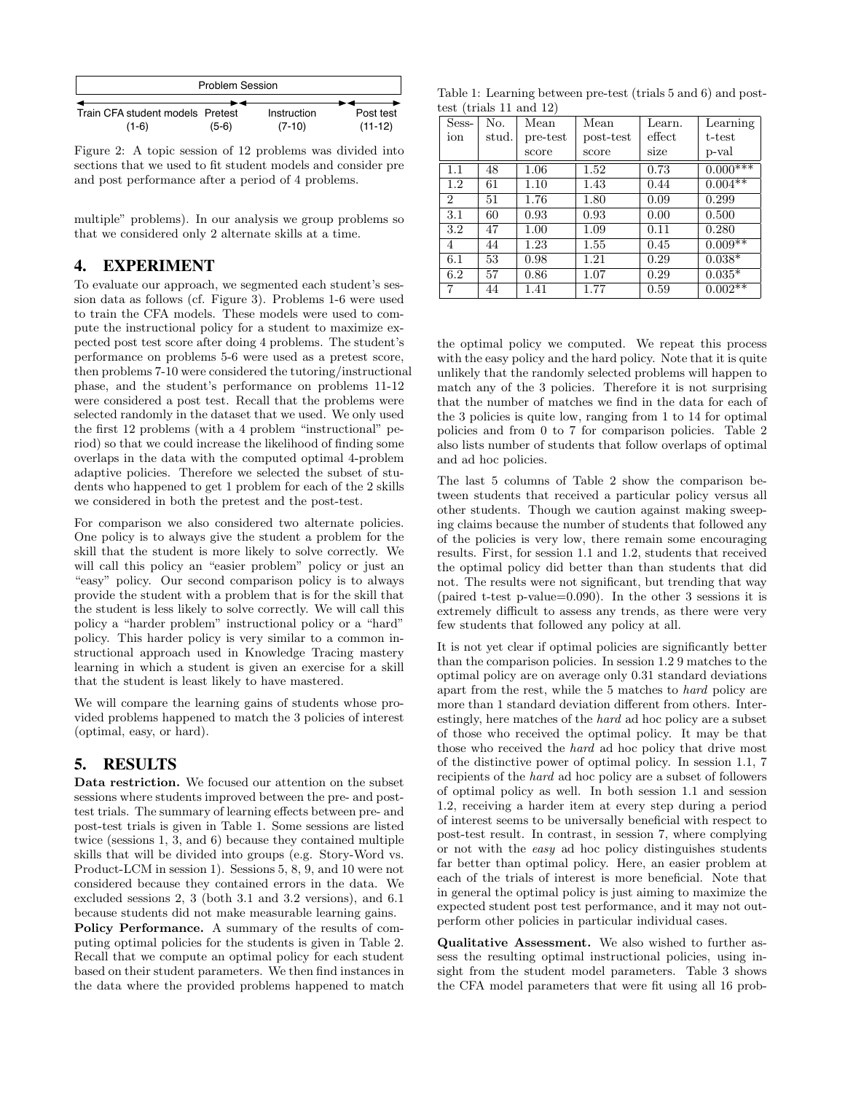| <b>Problem Session</b>           |         |             |           |  |  |
|----------------------------------|---------|-------------|-----------|--|--|
|                                  |         |             |           |  |  |
| Train CFA student models Pretest |         | Instruction | Post test |  |  |
| $(1-6)$                          | $(5-6)$ | $(7-10)$    | $(11-12)$ |  |  |

Figure 2: A topic session of 12 problems was divided into sections that we used to fit student models and consider pre and post performance after a period of 4 problems.

multiple" problems). In our analysis we group problems so that we considered only 2 alternate skills at a time.

### 4. EXPERIMENT

To evaluate our approach, we segmented each student's session data as follows (cf. Figure 3). Problems 1-6 were used to train the CFA models. These models were used to compute the instructional policy for a student to maximize expected post test score after doing 4 problems. The student's performance on problems 5-6 were used as a pretest score, then problems 7-10 were considered the tutoring/instructional phase, and the student's performance on problems 11-12 were considered a post test. Recall that the problems were selected randomly in the dataset that we used. We only used the first 12 problems (with a 4 problem "instructional" period) so that we could increase the likelihood of finding some overlaps in the data with the computed optimal 4-problem adaptive policies. Therefore we selected the subset of students who happened to get 1 problem for each of the 2 skills we considered in both the pretest and the post-test.

For comparison we also considered two alternate policies. One policy is to always give the student a problem for the skill that the student is more likely to solve correctly. We will call this policy an "easier problem" policy or just an "easy" policy. Our second comparison policy is to always provide the student with a problem that is for the skill that the student is less likely to solve correctly. We will call this policy a "harder problem" instructional policy or a "hard" policy. This harder policy is very similar to a common instructional approach used in Knowledge Tracing mastery learning in which a student is given an exercise for a skill that the student is least likely to have mastered.

We will compare the learning gains of students whose provided problems happened to match the 3 policies of interest (optimal, easy, or hard).

# 5. RESULTS

Data restriction. We focused our attention on the subset sessions where students improved between the pre- and posttest trials. The summary of learning effects between pre- and post-test trials is given in Table 1. Some sessions are listed twice (sessions 1, 3, and 6) because they contained multiple skills that will be divided into groups (e.g. Story-Word vs. Product-LCM in session 1). Sessions 5, 8, 9, and 10 were not considered because they contained errors in the data. We excluded sessions 2, 3 (both 3.1 and 3.2 versions), and 6.1 because students did not make measurable learning gains.

Policy Performance. A summary of the results of computing optimal policies for the students is given in Table 2. Recall that we compute an optimal policy for each student based on their student parameters. We then find instances in the data where the provided problems happened to match

Table 1: Learning between pre-test (trials 5 and 6) and posttest (trials 11 and 12)

| Sess-                       | No.   | Mean     | Mean      | Learn. | Learning   |
|-----------------------------|-------|----------|-----------|--------|------------|
| ion                         | stud. | pre-test | post-test | effect | t-test     |
|                             |       | score    | score     | size   | p-val      |
| 1.1                         | 48    | 1.06     | 1.52      | 0.73   | $0.000***$ |
| 1.2                         | 61    | 1.10     | 1.43      | 0.44   | $0.004***$ |
| $\mathcal{D}_{\mathcal{L}}$ | 51    | 1.76     | 1.80      | 0.09   | 0.299      |
| 3.1                         | 60    | 0.93     | 0.93      | 0.00   | 0.500      |
| 3.2                         | 47    | 1.00     | 1.09      | 0.11   | 0.280      |
| 4                           | 44    | 1.23     | 1.55      | 0.45   | $0.009**$  |
| 6.1                         | 53    | 0.98     | 1.21      | 0.29   | $0.038*$   |
| 6.2                         | 57    | 0.86     | 1.07      | 0.29   | $0.035*$   |
| 7                           | 44    | 1.41     | 1.77      | 0.59   | $0.002**$  |

the optimal policy we computed. We repeat this process with the easy policy and the hard policy. Note that it is quite unlikely that the randomly selected problems will happen to match any of the 3 policies. Therefore it is not surprising that the number of matches we find in the data for each of the 3 policies is quite low, ranging from 1 to 14 for optimal policies and from 0 to 7 for comparison policies. Table 2 also lists number of students that follow overlaps of optimal and ad hoc policies.

The last 5 columns of Table 2 show the comparison between students that received a particular policy versus all other students. Though we caution against making sweeping claims because the number of students that followed any of the policies is very low, there remain some encouraging results. First, for session 1.1 and 1.2, students that received the optimal policy did better than than students that did not. The results were not significant, but trending that way (paired t-test p-value=0.090). In the other 3 sessions it is extremely difficult to assess any trends, as there were very few students that followed any policy at all.

It is not yet clear if optimal policies are significantly better than the comparison policies. In session 1.2 9 matches to the optimal policy are on average only 0.31 standard deviations apart from the rest, while the 5 matches to hard policy are more than 1 standard deviation different from others. Interestingly, here matches of the hard ad hoc policy are a subset of those who received the optimal policy. It may be that those who received the hard ad hoc policy that drive most of the distinctive power of optimal policy. In session 1.1, 7 recipients of the hard ad hoc policy are a subset of followers of optimal policy as well. In both session 1.1 and session 1.2, receiving a harder item at every step during a period of interest seems to be universally beneficial with respect to post-test result. In contrast, in session 7, where complying or not with the easy ad hoc policy distinguishes students far better than optimal policy. Here, an easier problem at each of the trials of interest is more beneficial. Note that in general the optimal policy is just aiming to maximize the expected student post test performance, and it may not outperform other policies in particular individual cases.

Qualitative Assessment. We also wished to further assess the resulting optimal instructional policies, using insight from the student model parameters. Table 3 shows the CFA model parameters that were fit using all 16 prob-